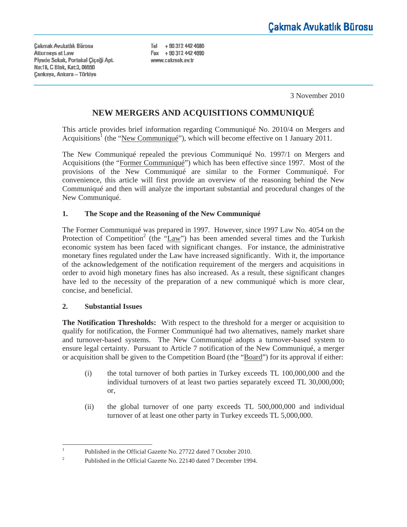**Cakmak Avukatlık Bürosu Attomeys at Law** Piyade Sokak, Portakal Ciceği Apt. No:18, C Blok, Kat:3, 06550 Cankaya, Ankara - Türkiye

Tel +90 312 442 4680 Fax +90 312 442 4690 www.cakmak.av.tr

3 November 2010

# **NEW MERGERS AND ACQUISITIONS COMMUNIQUÉ**

This article provides brief information regarding Communiqué No. 2010/4 on Mergers and Acquisitions<sup>1</sup> (the "New Communiqué"), which will become effective on 1 January 2011.

The New Communiqué repealed the previous Communiqué No. 1997/1 on Mergers and Acquisitions (the "Former Communiqué") which has been effective since 1997. Most of the provisions of the New Communiqué are similar to the Former Communiqué. For convenience, this article will first provide an overview of the reasoning behind the New Communiqué and then will analyze the important substantial and procedural changes of the New Communiqué.

## **1. The Scope and the Reasoning of the New Communiqué**

The Former Communiqué was prepared in 1997. However, since 1997 Law No. 4054 on the Protection of Competition<sup>2</sup> (the "Law") has been amended several times and the Turkish economic system has been faced with significant changes. For instance, the administrative monetary fines regulated under the Law have increased significantly. With it, the importance of the acknowledgement of the notification requirement of the mergers and acquisitions in order to avoid high monetary fines has also increased. As a result, these significant changes have led to the necessity of the preparation of a new communiqué which is more clear, concise, and beneficial.

### **2. Substantial Issues**

**The Notification Thresholds:** With respect to the threshold for a merger or acquisition to qualify for notification, the Former Communiqué had two alternatives, namely market share and turnover-based systems. The New Communiqué adopts a turnover-based system to ensure legal certainty. Pursuant to Article 7 notification of the New Communiqué, a merger or acquisition shall be given to the Competition Board (the "Board") for its approval if either:

- (i) the total turnover of both parties in Turkey exceeds TL 100,000,000 and the individual turnovers of at least two parties separately exceed TL 30,000,000; or,
- (ii) the global turnover of one party exceeds TL 500,000,000 and individual turnover of at least one other party in Turkey exceeds TL 5,000,000.

<sup>1</sup> Published in the Official Gazette No. 27722 dated 7 October 2010.

<sup>2</sup> Published in the Official Gazette No. 22140 dated 7 December 1994.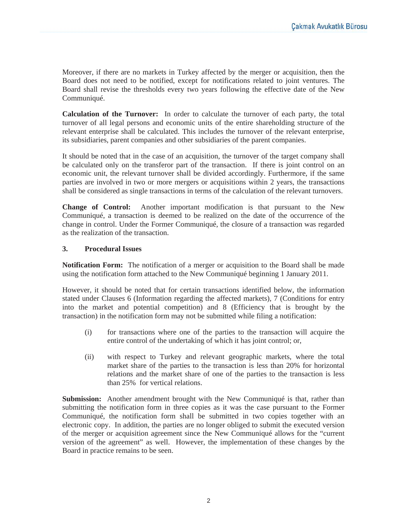Moreover, if there are no markets in Turkey affected by the merger or acquisition, then the Board does not need to be notified, except for notifications related to joint ventures. The Board shall revise the thresholds every two years following the effective date of the New Communiqué.

**Calculation of the Turnover:** In order to calculate the turnover of each party, the total turnover of all legal persons and economic units of the entire shareholding structure of the relevant enterprise shall be calculated. This includes the turnover of the relevant enterprise, its subsidiaries, parent companies and other subsidiaries of the parent companies.

It should be noted that in the case of an acquisition, the turnover of the target company shall be calculated only on the transferor part of the transaction. If there is joint control on an economic unit, the relevant turnover shall be divided accordingly. Furthermore, if the same parties are involved in two or more mergers or acquisitions within 2 years, the transactions shall be considered as single transactions in terms of the calculation of the relevant turnovers.

**Change of Control:** Another important modification is that pursuant to the New Communiqué, a transaction is deemed to be realized on the date of the occurrence of the change in control. Under the Former Communiqué, the closure of a transaction was regarded as the realization of the transaction.

### **3. Procedural Issues**

**Notification Form:** The notification of a merger or acquisition to the Board shall be made using the notification form attached to the New Communiqué beginning 1 January 2011.

However, it should be noted that for certain transactions identified below, the information stated under Clauses 6 (Information regarding the affected markets), 7 (Conditions for entry into the market and potential competition) and 8 (Efficiency that is brought by the transaction) in the notification form may not be submitted while filing a notification:

- (i) for transactions where one of the parties to the transaction will acquire the entire control of the undertaking of which it has joint control; or,
- (ii) with respect to Turkey and relevant geographic markets, where the total market share of the parties to the transaction is less than 20% for horizontal relations and the market share of one of the parties to the transaction is less than 25% for vertical relations.

**Submission:** Another amendment brought with the New Communiqué is that, rather than submitting the notification form in three copies as it was the case pursuant to the Former Communiqué, the notification form shall be submitted in two copies together with an electronic copy. In addition, the parties are no longer obliged to submit the executed version of the merger or acquisition agreement since the New Communiqué allows for the "current version of the agreement" as well. However, the implementation of these changes by the Board in practice remains to be seen.